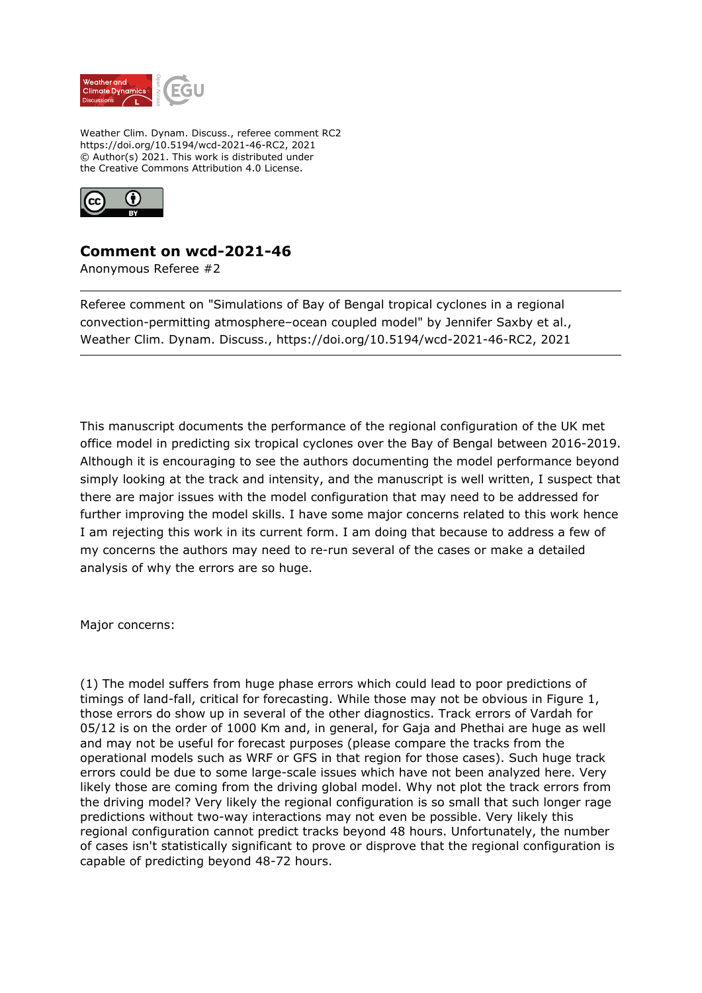

Weather Clim. Dynam. Discuss., referee comment RC2 https://doi.org/10.5194/wcd-2021-46-RC2, 2021 © Author(s) 2021. This work is distributed under the Creative Commons Attribution 4.0 License.



## **Comment on wcd-2021-46**

Anonymous Referee #2

Referee comment on "Simulations of Bay of Bengal tropical cyclones in a regional convection-permitting atmosphere–ocean coupled model" by Jennifer Saxby et al., Weather Clim. Dynam. Discuss., https://doi.org/10.5194/wcd-2021-46-RC2, 2021

This manuscript documents the performance of the regional configuration of the UK met office model in predicting six tropical cyclones over the Bay of Bengal between 2016-2019. Although it is encouraging to see the authors documenting the model performance beyond simply looking at the track and intensity, and the manuscript is well written, I suspect that there are major issues with the model configuration that may need to be addressed for further improving the model skills. I have some major concerns related to this work hence I am rejecting this work in its current form. I am doing that because to address a few of my concerns the authors may need to re-run several of the cases or make a detailed analysis of why the errors are so huge.

Major concerns:

(1) The model suffers from huge phase errors which could lead to poor predictions of timings of land-fall, critical for forecasting. While those may not be obvious in Figure 1, those errors do show up in several of the other diagnostics. Track errors of Vardah for 05/12 is on the order of 1000 Km and, in general, for Gaja and Phethai are huge as well and may not be useful for forecast purposes (please compare the tracks from the operational models such as WRF or GFS in that region for those cases). Such huge track errors could be due to some large-scale issues which have not been analyzed here. Very likely those are coming from the driving global model. Why not plot the track errors from the driving model? Very likely the regional configuration is so small that such longer rage predictions without two-way interactions may not even be possible. Very likely this regional configuration cannot predict tracks beyond 48 hours. Unfortunately, the number of cases isn't statistically significant to prove or disprove that the regional configuration is capable of predicting beyond 48-72 hours.